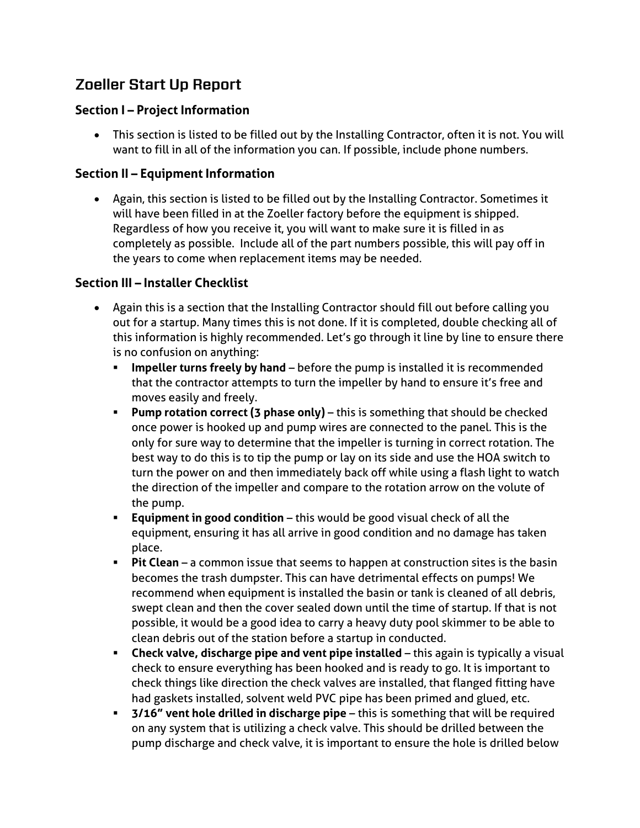# **Zoeller Start Up Report**

### **Section I – Project Information**

• This section is listed to be filled out by the Installing Contractor, often it is not. You will want to fill in all of the information you can. If possible, include phone numbers.

### **Section II – Equipment Information**

• Again, this section is listed to be filled out by the Installing Contractor. Sometimes it will have been filled in at the Zoeller factory before the equipment is shipped. Regardless of how you receive it, you will want to make sure it is filled in as completely as possible. Include all of the part numbers possible, this will pay off in the years to come when replacement items may be needed.

## **Section III – Installer Checklist**

- Again this is a section that the Installing Contractor should fill out before calling you out for a startup. Many times this is not done. If it is completed, double checking all of this information is highly recommended. Let's go through it line by line to ensure there is no confusion on anything:
	- **EXP** Impeller turns freely by hand before the pump is installed it is recommended that the contractor attempts to turn the impeller by hand to ensure it's free and moves easily and freely.
	- **Pump rotation correct (3 phase only)** this is something that should be checked once power is hooked up and pump wires are connected to the panel. This is the only for sure way to determine that the impeller is turning in correct rotation. The best way to do this is to tip the pump or lay on its side and use the HOA switch to turn the power on and then immediately back off while using a flash light to watch the direction of the impeller and compare to the rotation arrow on the volute of the pump.
	- **Equipment in good condition** this would be good visual check of all the equipment, ensuring it has all arrive in good condition and no damage has taken place.
	- **Pit Clean** a common issue that seems to happen at construction sites is the basin becomes the trash dumpster. This can have detrimental effects on pumps! We recommend when equipment is installed the basin or tank is cleaned of all debris, swept clean and then the cover sealed down until the time of startup. If that is not possible, it would be a good idea to carry a heavy duty pool skimmer to be able to clean debris out of the station before a startup in conducted.
	- **EXECT Check valve, discharge pipe and vent pipe installed** this again is typically a visual check to ensure everything has been hooked and is ready to go. It is important to check things like direction the check valves are installed, that flanged fitting have had gaskets installed, solvent weld PVC pipe has been primed and glued, etc.
	- **3/16" vent hole drilled in discharge pipe** this is something that will be required on any system that is utilizing a check valve. This should be drilled between the pump discharge and check valve, it is important to ensure the hole is drilled below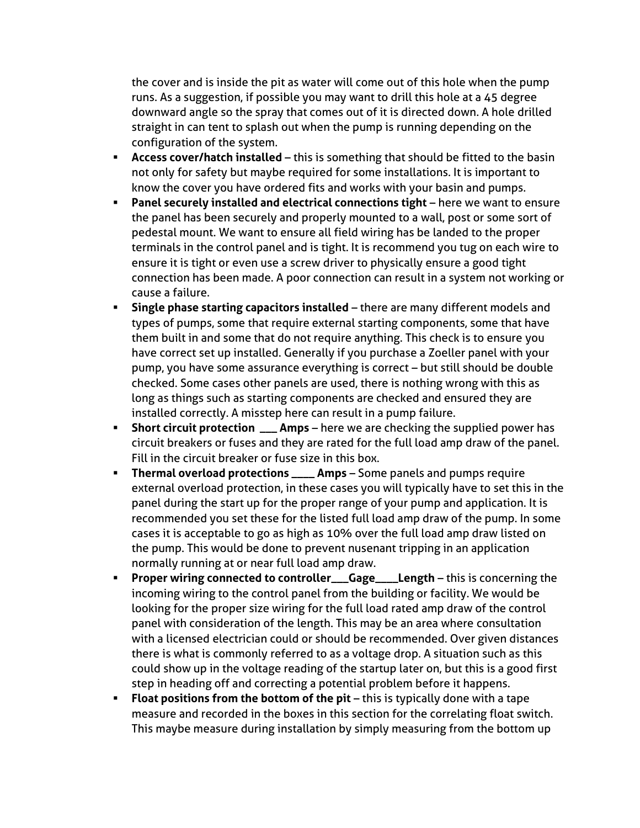the cover and is inside the pit as water will come out of this hole when the pump runs. As a suggestion, if possible you may want to drill this hole at a 45 degree downward angle so the spray that comes out of it is directed down. A hole drilled straight in can tent to splash out when the pump is running depending on the configuration of the system.

- **EXP** Access cover/hatch installed this is something that should be fitted to the basin not only for safety but maybe required for some installations. It is important to know the cover you have ordered fits and works with your basin and pumps.
- **Panel securely installed and electrical connections tight** here we want to ensure the panel has been securely and properly mounted to a wall, post or some sort of pedestal mount. We want to ensure all field wiring has be landed to the proper terminals in the control panel and is tight. It is recommend you tug on each wire to ensure it is tight or even use a screw driver to physically ensure a good tight connection has been made. A poor connection can result in a system not working or cause a failure.
- **Single phase starting capacitors installed** there are many different models and types of pumps, some that require external starting components, some that have them built in and some that do not require anything. This check is to ensure you have correct set up installed. Generally if you purchase a Zoeller panel with your pump, you have some assurance everything is correct – but still should be double checked. Some cases other panels are used, there is nothing wrong with this as long as things such as starting components are checked and ensured they are installed correctly. A misstep here can result in a pump failure.
- **EXEDED:** Short circuit protection \_\_\_ Amps here we are checking the supplied power has circuit breakers or fuses and they are rated for the full load amp draw of the panel. Fill in the circuit breaker or fuse size in this box.
- **EXP: Thermal overload protections \_\_\_\_ Amps** Some panels and pumps require external overload protection, in these cases you will typically have to set this in the panel during the start up for the proper range of your pump and application. It is recommended you set these for the listed full load amp draw of the pump. In some cases it is acceptable to go as high as 10% over the full load amp draw listed on the pump. This would be done to prevent nusenant tripping in an application normally running at or near full load amp draw.
- **Proper wiring connected to controller\_\_\_Gage\_\_\_\_Length** this is concerning the incoming wiring to the control panel from the building or facility. We would be looking for the proper size wiring for the full load rated amp draw of the control panel with consideration of the length. This may be an area where consultation with a licensed electrician could or should be recommended. Over given distances there is what is commonly referred to as a voltage drop. A situation such as this could show up in the voltage reading of the startup later on, but this is a good first step in heading off and correcting a potential problem before it happens.
- **Float positions from the bottom of the pit** this is typically done with a tape measure and recorded in the boxes in this section for the correlating float switch. This maybe measure during installation by simply measuring from the bottom up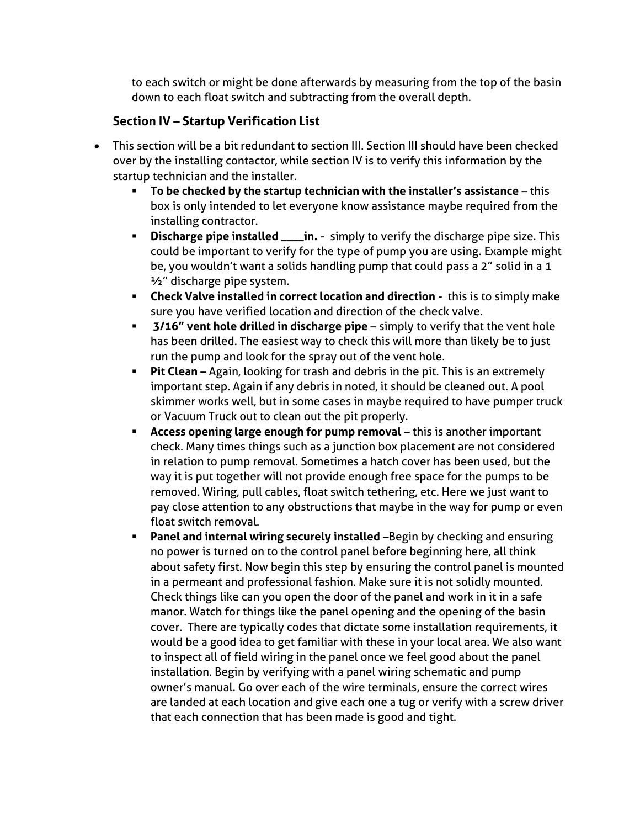to each switch or might be done afterwards by measuring from the top of the basin down to each float switch and subtracting from the overall depth.

## **Section IV – Startup Verification List**

- This section will be a bit redundant to section III. Section III should have been checked over by the installing contactor, while section IV is to verify this information by the startup technician and the installer.
	- **To be checked by the startup technician with the installer's assistance** this box is only intended to let everyone know assistance maybe required from the installing contractor.
	- **EXEDISCHARge pipe installed \_\_\_\_in.** simply to verify the discharge pipe size. This could be important to verify for the type of pump you are using. Example might be, you wouldn't want a solids handling pump that could pass a 2" solid in a 1 ½" discharge pipe system.
	- **Check Valve installed in correct location and direction** this is to simply make sure you have verified location and direction of the check valve.
	- **3/16" vent hole drilled in discharge pipe** simply to verify that the vent hole has been drilled. The easiest way to check this will more than likely be to just run the pump and look for the spray out of the vent hole.
	- **Pit Clean** Again, looking for trash and debris in the pit. This is an extremely important step. Again if any debris in noted, it should be cleaned out. A pool skimmer works well, but in some cases in maybe required to have pumper truck or Vacuum Truck out to clean out the pit properly.
	- **EXP** Access opening large enough for pump removal this is another important check. Many times things such as a junction box placement are not considered in relation to pump removal. Sometimes a hatch cover has been used, but the way it is put together will not provide enough free space for the pumps to be removed. Wiring, pull cables, float switch tethering, etc. Here we just want to pay close attention to any obstructions that maybe in the way for pump or even float switch removal.
	- **Panel and internal wiring securely installed** –Begin by checking and ensuring no power is turned on to the control panel before beginning here, all think about safety first. Now begin this step by ensuring the control panel is mounted in a permeant and professional fashion. Make sure it is not solidly mounted. Check things like can you open the door of the panel and work in it in a safe manor. Watch for things like the panel opening and the opening of the basin cover. There are typically codes that dictate some installation requirements, it would be a good idea to get familiar with these in your local area. We also want to inspect all of field wiring in the panel once we feel good about the panel installation. Begin by verifying with a panel wiring schematic and pump owner's manual. Go over each of the wire terminals, ensure the correct wires are landed at each location and give each one a tug or verify with a screw driver that each connection that has been made is good and tight.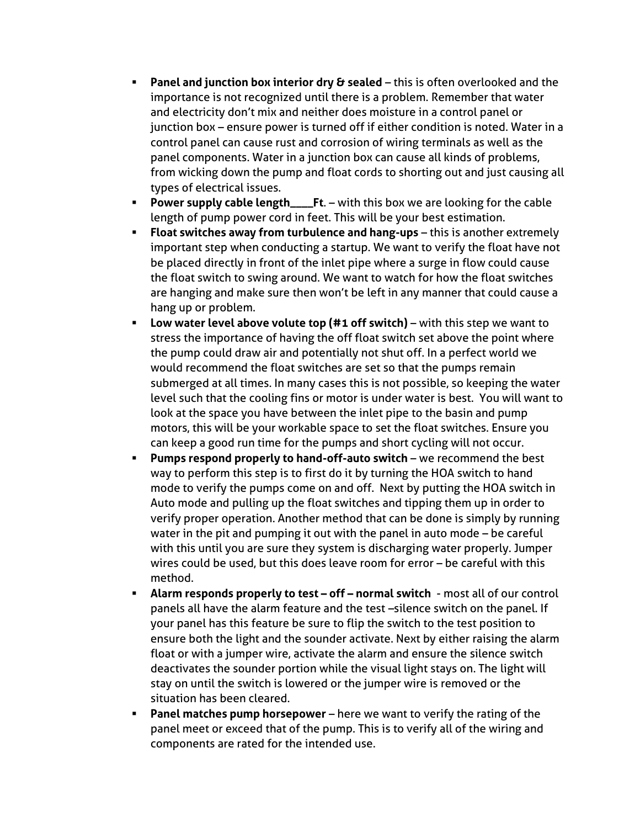- **Panel and junction box interior dry & sealed** this is often overlooked and the importance is not recognized until there is a problem. Remember that water and electricity don't mix and neither does moisture in a control panel or junction box – ensure power is turned off if either condition is noted. Water in a control panel can cause rust and corrosion of wiring terminals as well as the panel components. Water in a junction box can cause all kinds of problems, from wicking down the pump and float cords to shorting out and just causing all types of electrical issues.
- **Power supply cable length\_\_\_\_Ft.** with this box we are looking for the cable length of pump power cord in feet. This will be your best estimation.
- **Float switches away from turbulence and hang-ups** this is another extremely important step when conducting a startup. We want to verify the float have not be placed directly in front of the inlet pipe where a surge in flow could cause the float switch to swing around. We want to watch for how the float switches are hanging and make sure then won't be left in any manner that could cause a hang up or problem.
- **Low water level above volute top (#1 off switch)** with this step we want to stress the importance of having the off float switch set above the point where the pump could draw air and potentially not shut off. In a perfect world we would recommend the float switches are set so that the pumps remain submerged at all times. In many cases this is not possible, so keeping the water level such that the cooling fins or motor is under water is best. You will want to look at the space you have between the inlet pipe to the basin and pump motors, this will be your workable space to set the float switches. Ensure you can keep a good run time for the pumps and short cycling will not occur.
- **Pumps respond properly to hand-off-auto switch** we recommend the best way to perform this step is to first do it by turning the HOA switch to hand mode to verify the pumps come on and off. Next by putting the HOA switch in Auto mode and pulling up the float switches and tipping them up in order to verify proper operation. Another method that can be done is simply by running water in the pit and pumping it out with the panel in auto mode – be careful with this until you are sure they system is discharging water properly. Jumper wires could be used, but this does leave room for error – be careful with this method.
- **Alarm responds properly to test – off – normal switch** most all of our control panels all have the alarm feature and the test –silence switch on the panel. If your panel has this feature be sure to flip the switch to the test position to ensure both the light and the sounder activate. Next by either raising the alarm float or with a jumper wire, activate the alarm and ensure the silence switch deactivates the sounder portion while the visual light stays on. The light will stay on until the switch is lowered or the jumper wire is removed or the situation has been cleared.
- **Panel matches pump horsepower** here we want to verify the rating of the panel meet or exceed that of the pump. This is to verify all of the wiring and components are rated for the intended use.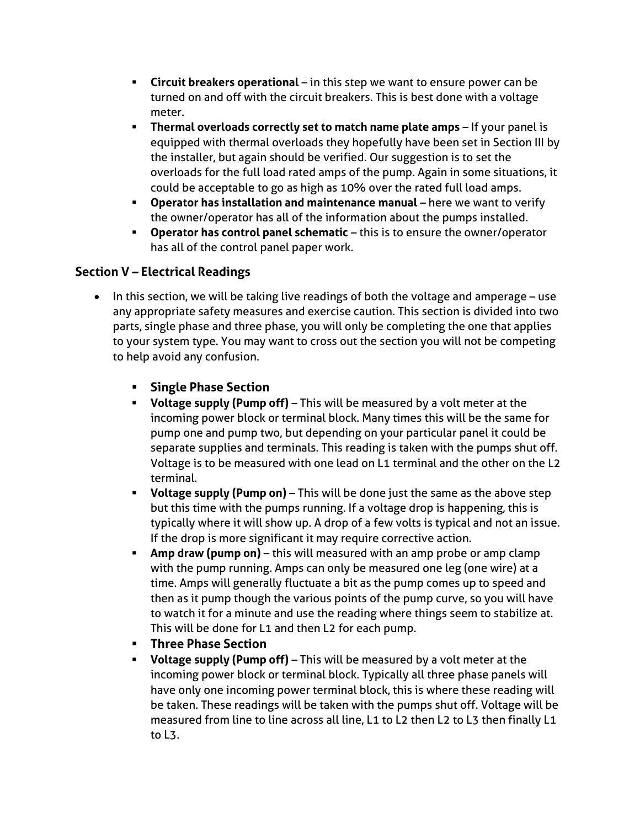- **Circuit breakers operational** in this step we want to ensure power can be turned on and off with the circuit breakers. This is best done with a voltage meter.
- **Thermal overloads correctly set to match name plate amps** If your panel is equipped with thermal overloads they hopefully have been set in Section III by the installer, but again should be verified. Our suggestion is to set the overloads for the full load rated amps of the pump. Again in some situations, it could be acceptable to go as high as 10% over the rated full load amps.
- **Operator has installation and maintenance manual** here we want to verify the owner/operator has all of the information about the pumps installed.
- **Operator has control panel schematic** this is to ensure the owner/operator has all of the control panel paper work.

# **Section V – Electrical Readings**

- In this section, we will be taking live readings of both the voltage and amperage use any appropriate safety measures and exercise caution. This section is divided into two parts, single phase and three phase, you will only be completing the one that applies to your system type. You may want to cross out the section you will not be competing to help avoid any confusion.
	- **Single Phase Section**
	- **Voltage supply (Pump off)** This will be measured by a volt meter at the incoming power block or terminal block. Many times this will be the same for pump one and pump two, but depending on your particular panel it could be separate supplies and terminals. This reading is taken with the pumps shut off. Voltage is to be measured with one lead on L1 terminal and the other on the L2 terminal.
	- **Voltage supply (Pump on)** This will be done just the same as the above step but this time with the pumps running. If a voltage drop is happening, this is typically where it will show up. A drop of a few volts is typical and not an issue. If the drop is more significant it may require corrective action.
	- **Amp draw (pump on)** this will measured with an amp probe or amp clamp with the pump running. Amps can only be measured one leg (one wire) at a time. Amps will generally fluctuate a bit as the pump comes up to speed and then as it pump though the various points of the pump curve, so you will have to watch it for a minute and use the reading where things seem to stabilize at. This will be done for L1 and then L2 for each pump.
	- **Three Phase Section**
	- **Voltage supply (Pump off)** This will be measured by a volt meter at the incoming power block or terminal block. Typically all three phase panels will have only one incoming power terminal block, this is where these reading will be taken. These readings will be taken with the pumps shut off. Voltage will be measured from line to line across all line, L1 to L2 then L2 to L3 then finally L1 to L3.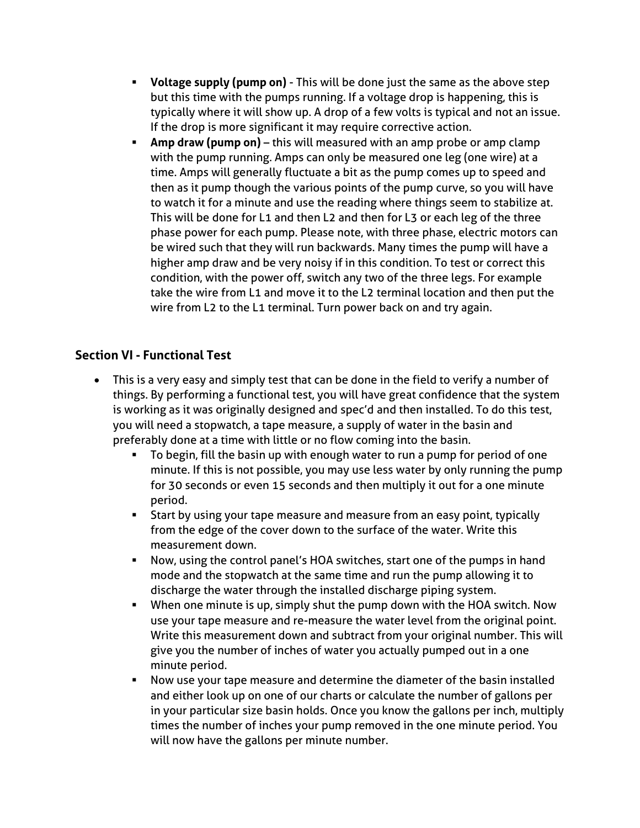- **Voltage supply (pump on)** This will be done just the same as the above step but this time with the pumps running. If a voltage drop is happening, this is typically where it will show up. A drop of a few volts is typical and not an issue. If the drop is more significant it may require corrective action.
- **Amp draw (pump on)** this will measured with an amp probe or amp clamp with the pump running. Amps can only be measured one leg (one wire) at a time. Amps will generally fluctuate a bit as the pump comes up to speed and then as it pump though the various points of the pump curve, so you will have to watch it for a minute and use the reading where things seem to stabilize at. This will be done for L1 and then L2 and then for L3 or each leg of the three phase power for each pump. Please note, with three phase, electric motors can be wired such that they will run backwards. Many times the pump will have a higher amp draw and be very noisy if in this condition. To test or correct this condition, with the power off, switch any two of the three legs. For example take the wire from L1 and move it to the L2 terminal location and then put the wire from L2 to the L1 terminal. Turn power back on and try again.

#### **Section VI - Functional Test**

- This is a very easy and simply test that can be done in the field to verify a number of things. By performing a functional test, you will have great confidence that the system is working as it was originally designed and spec'd and then installed. To do this test, you will need a stopwatch, a tape measure, a supply of water in the basin and preferably done at a time with little or no flow coming into the basin.
	- To begin, fill the basin up with enough water to run a pump for period of one minute. If this is not possible, you may use less water by only running the pump for 30 seconds or even 15 seconds and then multiply it out for a one minute period.
	- **EXT** Start by using your tape measure and measure from an easy point, typically from the edge of the cover down to the surface of the water. Write this measurement down.
	- Now, using the control panel's HOA switches, start one of the pumps in hand mode and the stopwatch at the same time and run the pump allowing it to discharge the water through the installed discharge piping system.
	- **■** When one minute is up, simply shut the pump down with the HOA switch. Now use your tape measure and re-measure the water level from the original point. Write this measurement down and subtract from your original number. This will give you the number of inches of water you actually pumped out in a one minute period.
	- Now use your tape measure and determine the diameter of the basin installed and either look up on one of our charts or calculate the number of gallons per in your particular size basin holds. Once you know the gallons per inch, multiply times the number of inches your pump removed in the one minute period. You will now have the gallons per minute number.